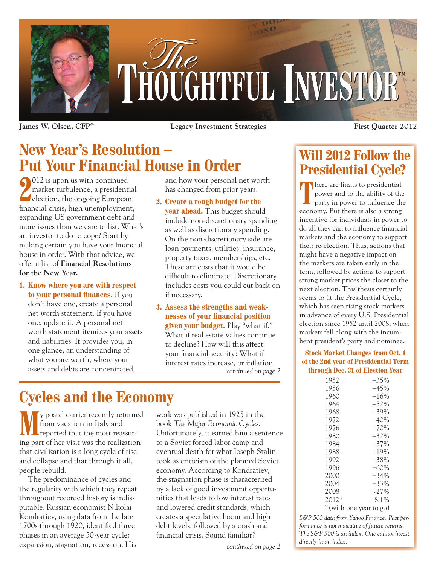

**James W. Olsen, CFP® Legacy Investment Strategies First Quarter 2012**

## **New Year's Resolution – Put Your Financial House in Order**

**2** election, the ongoing European<br>
delection, the ongoing European 012 is upon us with continued market turbulence, a presidential financial crisis, high unemployment, expanding US government debt and more issues than we care to list. What's an investor to do to cope? Start by making certain you have your financial house in order. With that advice, we offer a list of **Financial Resolutions for the New Year.**

**1. Know where you are with respect to your personal finances.** If you don't have one, create a personal net worth statement. If you have one, update it. A personal net worth statement itemizes your assets and liabilities. It provides you, in one glance, an understanding of what you are worth, where your assets and debts are concentrated,

and how your personal net worth has changed from prior years.

**2. Create a rough budget for the**

**year ahead.** This budget should include non-discretionary spending as well as discretionary spending. On the non-discretionary side are loan payments, utilities, insurance, property taxes, memberships, etc. These are costs that it would be difficult to eliminate. Discretionary includes costs you could cut back on if necessary.

**3. Assess the strengths and weaknesses of your financial position given your budget.** Play "what if." What if real estate values continue to decline? How will this affect your financial security? What if interest rates increase, or inflation *continued on page 2*

# **Cycles and the Economy**

**M**y postal carrier recently returned from vacation in Italy and reported that the most reassuring part of her visit was the realization that civilization is a long cycle of rise and collapse and that through it all, people rebuild.

The predominance of cycles and the regularity with which they repeat throughout recorded history is indisputable. Russian economist Nikolai Kondratiev, using data from the late 1700s through 1920, identified three phases in an average 50-year cycle: expansion, stagnation, recession. His

work was published in 1925 in the book *The Major Economic Cycles*. Unfortunately, it earned him a sentence to a Soviet forced labor camp and eventual death for what Joseph Stalin took as criticism of the planned Soviet economy. According to Kondratiev, the stagnation phase is characterized by a lack of good investment opportunities that leads to low interest rates and lowered credit standards, which creates a speculative boom and high debt levels, followed by a crash and financial crisis. Sound familiar?

## **Will 2012 Follow the Presidential Cycle?**

There are limits to presidential power and to the ability of the party in power to influence the economy. But there is also a strong incentive for individuals in power to do all they can to influence financial markets and the economy to support their re-election. Thus, actions that might have a negative impact on the markets are taken early in the term, followed by actions to support strong market prices the closer to the next election. This thesis certainly seems to fit the Presidential Cycle, which has seen rising stock markets in advance of every U.S. Presidential election since 1952 until 2008, when markets fell along with the incumbent president's party and nominee.

#### **Stock Market Changes from Oct. 1 of the 2nd year of Presidential Term through Dec. 31 of Election Year**

| 1952    | $+35%$                 |
|---------|------------------------|
| 1956    | $+45%$                 |
| 1960    | $+16%$                 |
| 1964    | $+52%$                 |
| 1968    | $+39%$                 |
| 1972    | $+40%$                 |
| 1976    | $+70%$                 |
| 1980    | $+32\%$                |
| 1984    | $+37%$                 |
| 1988    | $+19%$                 |
| 1992    | $+38%$                 |
| 1996    | $+60\%$                |
| 2000    | $+34%$                 |
| 2004    | $+33%$                 |
| 2008    | $-27%$                 |
| $2012*$ | 8.1%                   |
|         | *(with one year to go) |

*S&P 500 data from Yahoo Finance. Past performance is not indicative of future returns. The S&P 500 is an index. One cannot invest directly in an index.*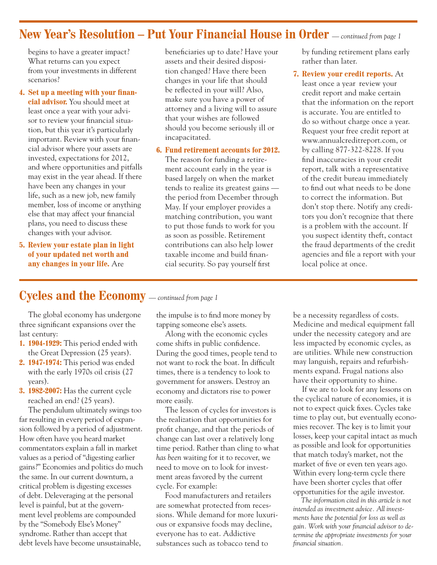### **New Year's Resolution – Put Your Financial House in Order** *— continued from page 1*

begins to have a greater impact? What returns can you expect from your investments in different scenarios?

### **4. Set up a meeting with your finan-**

**cial advisor.** You should meet at least once a year with your advisor to review your financial situation, but this year it's particularly important. Review with your financial advisor where your assets are invested, expectations for 2012, and where opportunities and pitfalls may exist in the year ahead. If there have been any changes in your life, such as a new job, new family member, loss of income or anything else that may affect your financial plans, you need to discuss these changes with your advisor.

**5. Review your estate plan in light of your updated net worth and any changes in your life.** Are

beneficiaries up to date? Have your assets and their desired disposition changed? Have there been changes in your life that should be reflected in your will? Also, make sure you have a power of attorney and a living will to assure that your wishes are followed should you become seriously ill or incapacitated.

#### **6. Fund retirement accounts for 2012.**

The reason for funding a retirement account early in the year is based largely on when the market tends to realize its greatest gains the period from December through May. If your employer provides a matching contribution, you want to put those funds to work for you as soon as possible. Retirement contributions can also help lower taxable income and build financial security. So pay yourself first

by funding retirement plans early rather than later.

**7. Review your credit reports.** At least once a year review your credit report and make certain that the information on the report is accurate. You are entitled to do so without charge once a year. Request your free credit report at www.annualcreditreport.com, or by calling 877-322-8228. If you find inaccuracies in your credit report, talk with a representative of the credit bureau immediately to find out what needs to be done to correct the information. But don't stop there. Notify any creditors you don't recognize that there is a problem with the account. If you suspect identity theft, contact the fraud departments of the credit agencies and file a report with your local police at once.

### **Cycles and the Economy** *— continued from page 1*

The global economy has undergone three significant expansions over the last century:

- **1. 1904-1929:** This period ended with the Great Depression (25 years).
- **2. 1947-1974:** This period was ended with the early 1970s oil crisis (27 years).
- **3. 1982-2007:** Has the current cycle reached an end? (25 years).

The pendulum ultimately swings too far resulting in every period of expansion followed by a period of adjustment. How often have you heard market commentators explain a fall in market values as a period of "digesting earlier gains?" Economies and politics do much the same. In our current downturn, a critical problem is digesting excesses of debt. Deleveraging at the personal level is painful, but at the government level problems are compounded by the "Somebody Else's Money" syndrome. Rather than accept that debt levels have become unsustainable,

the impulse is to find more money by tapping someone else's assets.

Along with the economic cycles come shifts in public confidence. During the good times, people tend to not want to rock the boat. In difficult times, there is a tendency to look to government for answers. Destroy an economy and dictators rise to power more easily.

The lesson of cycles for investors is the realization that opportunities for profit change, and that the periods of change can last over a relatively long time period. Rather than cling to what *has been* waiting for it to recover, we need to move on to look for investment areas favored by the current cycle. For example:

Food manufacturers and retailers are somewhat protected from recessions. While demand for more luxurious or expansive foods may decline, everyone has to eat. Addictive substances such as tobacco tend to

be a necessity regardless of costs. Medicine and medical equipment fall under the necessity category and are less impacted by economic cycles, as are utilities. While new construction may languish, repairs and refurbishments expand. Frugal nations also have their opportunity to shine.

If we are to look for any lessons on the cyclical nature of economies, it is not to expect quick fixes. Cycles take time to play out, but eventually economies recover. The key is to limit your losses, keep your capital intact as much as possible and look for opportunities that match today's market, not the market of five or even ten years ago. Within every long-term cycle there have been shorter cycles that offer opportunities for the agile investor.

*The information cited in this article is not intended as investment advice. All investments have the potential for loss as well as gain. Work with your financial advisor to determine the appropriate investments for your financial situation.*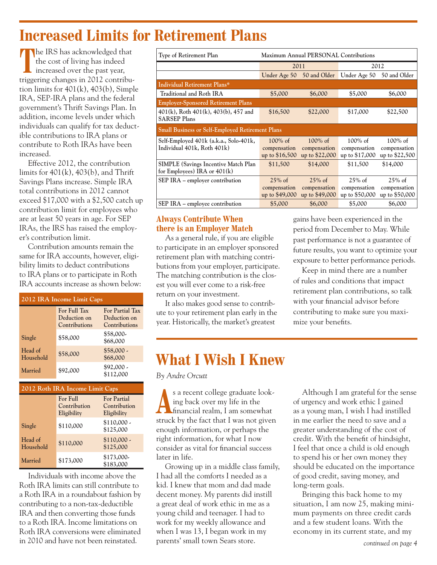## **Increased Limits for Retirement Plans**

**T**he IRS has acknowledged that the cost of living has indeed increased over the past year, triggering changes in 2012 contribution limits for  $401(k)$ ,  $403(b)$ , Simple IRA, SEP-IRA plans and the federal government's Thrift Savings Plan. In addition, income levels under which individuals can qualify for tax deductible contributions to IRA plans or contribute to Roth IRAs have been increased.

Effective 2012, the contribution limits for  $401(k)$ ,  $403(b)$ , and Thrift Savings Plans increase. Simple IRA total contributions in 2012 cannot exceed \$17,000 with a \$2,500 catch up contribution limit for employees who are at least 50 years in age. For SEP IRAs, the IRS has raised the employer's contribution limit.

Contribution amounts remain the same for IRA accounts, however, eligibility limits to deduct contributions to IRA plans or to participate in Roth IRA accounts increase as shown below:

| 2012 IRA Income Limit Caps                |                                               |                                                  |  |  |  |
|-------------------------------------------|-----------------------------------------------|--------------------------------------------------|--|--|--|
|                                           | For Full Tax<br>Deduction on<br>Contributions | For Partial Tax<br>Deduction on<br>Contributions |  |  |  |
| Single<br>Head of<br>Household<br>Married | \$58,000                                      | \$58,000-<br>\$68,000                            |  |  |  |
|                                           | \$58,000                                      | $$58,000$ .<br>\$68,000                          |  |  |  |
|                                           | \$92,000                                      | $$92,000$ -<br>\$112,000                         |  |  |  |

| 2012 Roth IRA Income Limit Caps |                                         |                                                   |  |  |  |
|---------------------------------|-----------------------------------------|---------------------------------------------------|--|--|--|
|                                 | For Full<br>Contribution<br>Eligibility | <b>For Partial</b><br>Contribution<br>Eligibility |  |  |  |
| Single                          | \$110,000                               | $$110,000$ .<br>\$125,000                         |  |  |  |
| Head of<br>Household            | \$110,000                               | $$110,000$ .<br>\$125,000                         |  |  |  |
| Married                         | \$173,000                               | \$173,000-<br>\$183,000                           |  |  |  |

Individuals with income above the Roth IRA limits can still contribute to a Roth IRA in a roundabout fashion by contributing to a non-tax-deductible IRA and then converting those funds to a Roth IRA. Income limitations on Roth IRA conversions were eliminated in 2010 and have not been reinstated.

| <b>Type of Retirement Plan</b>                                                 | Maximum Annual PERSONAL Contributions        |                                              |                                              |                                              |  |  |
|--------------------------------------------------------------------------------|----------------------------------------------|----------------------------------------------|----------------------------------------------|----------------------------------------------|--|--|
|                                                                                | 2011                                         |                                              | 2012                                         |                                              |  |  |
|                                                                                |                                              | Under Age 50 50 and Older Under Age 50       |                                              | 50 and Older                                 |  |  |
| Individual Retirement Plans*                                                   |                                              |                                              |                                              |                                              |  |  |
| Traditional and Roth IRA                                                       | \$5,000                                      | \$6,000                                      | \$5,000                                      | \$6,000                                      |  |  |
| <b>Employer-Sponsored Retirement Plans</b>                                     |                                              |                                              |                                              |                                              |  |  |
| 401(k), Roth 401(k), 403(b), 457 and<br><b>SARSEP Plans</b>                    | \$16,500                                     | \$22,000                                     | \$17,000                                     | \$22,500                                     |  |  |
| <b>Small Business or Self-Employed Retirement Plans</b>                        |                                              |                                              |                                              |                                              |  |  |
| Self-Employed 401k (a.k.a., Solo-401k,<br>Individual 401k, Roth 401k)          | $100\%$ of<br>compensation<br>up to \$16,500 | $100\%$ of<br>compensation<br>up to \$22,000 | $100\%$ of<br>compensation<br>up to \$17,000 | $100\%$ of<br>compensation<br>up to \$22,500 |  |  |
| <b>SIMPLE</b> (Savings Incentive Match Plan)<br>for Employees) IRA or $401(k)$ | \$11,500                                     | \$14,000                                     | \$11,500                                     | \$14,000                                     |  |  |
| SEP IRA - employer contribution                                                | $25\%$ of                                    | $25\%$ of                                    | $25\%$ of                                    | $25\%$ of                                    |  |  |
|                                                                                | compensation<br>up to \$49,000               | compensation<br>up to \$49,000               | compensation<br>up to \$50,000               | compensation<br>up to \$50,000               |  |  |
| SEP IRA – employee contribution                                                | \$5,000                                      | \$6,000                                      | \$5,000                                      | \$6,000                                      |  |  |

### **Always Contribute When there is an Employer Match**

As a general rule, if you are eligible to participate in an employer sponsored retirement plan with matching contributions from your employer, participate. The matching contribution is the closest you will ever come to a risk-free return on your investment.

It also makes good sense to contribute to your retirement plan early in the year. Historically, the market's greatest

gains have been experienced in the period from December to May. While past performance is not a guarantee of future results, you want to optimize your exposure to better performance periods.

Keep in mind there are a number of rules and conditions that impact retirement plan contributions, so talk with your financial advisor before contributing to make sure you maximize your benefits.

## **What I Wish I Knew**

*By Andre Orcutt*

**A**s a recent college graduate looking back over my life in the financial realm, I am somewhat struck by the fact that I was not given enough information, or perhaps the right information, for what I now consider as vital for financial success later in life.

Growing up in a middle class family, I had all the comforts I needed as a kid. I knew that mom and dad made decent money. My parents did instill a great deal of work ethic in me as a young child and teenager. I had to work for my weekly allowance and when I was 13, I began work in my parents' small town Sears store.

Although I am grateful for the sense of urgency and work ethic I gained as a young man, I wish I had instilled in me earlier the need to save and a greater understanding of the cost of credit. With the benefit of hindsight, I feel that once a child is old enough to spend his or her own money they should be educated on the importance of good credit, saving money, and long-term goals.

Bringing this back home to my situation, I am now 25, making minimum payments on three credit cards and a few student loans. With the economy in its current state, and my